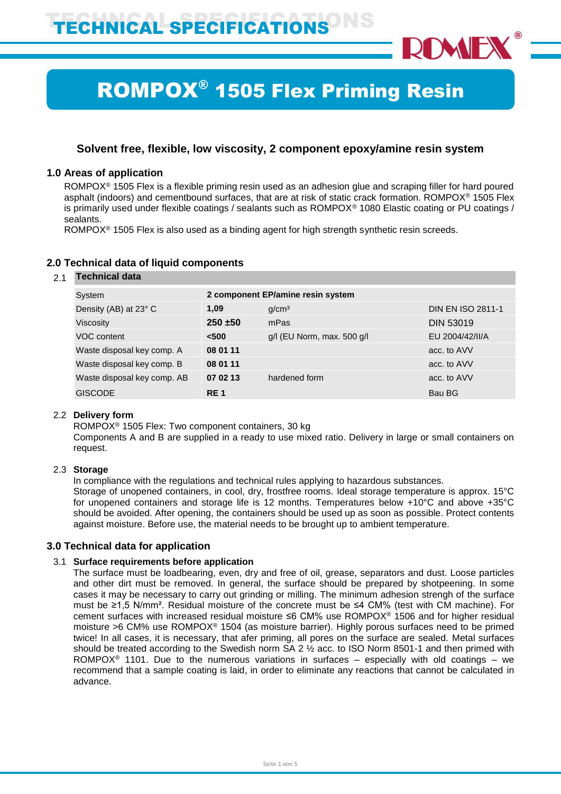

# ROMPOX® 1505 Flex Priming Resin

# **Solvent free, flexible, low viscosity, 2 component epoxy/amine resin system**

# **1.0 Areas of application**

ROMPOX® 1505 Flex is a flexible priming resin used as an adhesion glue and scraping filler for hard poured asphalt (indoors) and cementbound surfaces, that are at risk of static crack formation. ROMPOX® 1505 Flex is primarily used under flexible coatings / sealants such as ROMPOX® 1080 Elastic coating or PU coatings / sealants.

ROMPOX® 1505 Flex is also used as a binding agent for high strength synthetic resin screeds.

# **2.0 Technical data of liquid components**

## 2.1 **Technical data**

| System                      |                 | 2 component EP/amine resin system |                          |
|-----------------------------|-----------------|-----------------------------------|--------------------------|
| Density (AB) at 23° C       | 1.09            | g/cm <sup>3</sup>                 | <b>DIN EN ISO 2811-1</b> |
| Viscosity                   | $250 + 50$      | mPas                              | <b>DIN 53019</b>         |
| VOC content                 | < 500           | $g/l$ (EU Norm, max. 500 $g/l$    | EU 2004/42/II/A          |
| Waste disposal key comp. A  | 08 01 11        |                                   | acc. to AVV              |
| Waste disposal key comp. B  | 08 01 11        |                                   | acc. to AVV              |
| Waste disposal key comp. AB | 07 02 13        | hardened form                     | acc. to AVV              |
| <b>GISCODE</b>              | RE <sub>1</sub> |                                   | Bau BG                   |

## 2.2 **Delivery form**

ROMPOX® 1505 Flex: Two component containers, 30 kg

Components A and B are supplied in a ready to use mixed ratio. Delivery in large or small containers on request.

# 2.3 **Storage**

In compliance with the regulations and technical rules applying to hazardous substances.

Storage of unopened containers, in cool, dry, frostfree rooms. Ideal storage temperature is approx. 15°C for unopened containers and storage life is 12 months. Temperatures below +10°C and above +35°C should be avoided. After opening, the containers should be used up as soon as possible. Protect contents against moisture. Before use, the material needs to be brought up to ambient temperature.

# **3.0 Technical data for application**

## 3.1 **Surface requirements before application**

The surface must be loadbearing, even, dry and free of oil, grease, separators and dust. Loose particles and other dirt must be removed. In general, the surface should be prepared by shotpeening. In some cases it may be necessary to carry out grinding or milling. The minimum adhesion strengh of the surface must be ≥1,5 N/mm². Residual moisture of the concrete must be ≤4 CM% (test with CM machine). For cement surfaces with increased residual moisture ≤6 CM% use ROMPOX® 1506 and for higher residual moisture >6 CM% use ROMPOX® 1504 (as moisture barrier). Highly porous surfaces need to be primed twice! In all cases, it is necessary, that afer priming, all pores on the surface are sealed. Metal surfaces should be treated according to the Swedish norm SA 2 ½ acc. to ISO Norm 8501-1 and then primed with ROMPOX<sup>®</sup> 1101. Due to the numerous variations in surfaces – especially with old coatings – we recommend that a sample coating is laid, in order to eliminate any reactions that cannot be calculated in advance.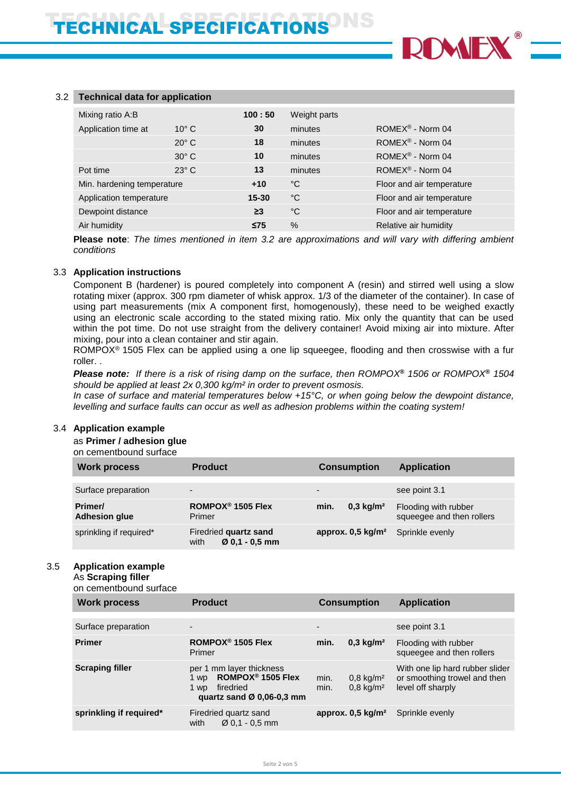

## 3.2 **Technical data for application**

| Mixing ratio A:B           |                | 100:50    | Weight parts |                                |
|----------------------------|----------------|-----------|--------------|--------------------------------|
| Application time at        | $10^{\circ}$ C | 30        | minutes      | ROME $X^{\circledR}$ - Norm 04 |
|                            | $20^{\circ}$ C | 18        | minutes      | $ROMEX^{\circledR}$ - Norm 04  |
|                            | $30^\circ$ C   | 10        | minutes      | $ROMEX^{\circledR}$ - Norm 04  |
| Pot time                   | $23^\circ$ C   | 13        | minutes      | $ROMEX^{\circledR}$ - Norm 04  |
| Min. hardening temperature |                | $+10$     | °C           | Floor and air temperature      |
| Application temperature    |                | $15 - 30$ | °C           | Floor and air temperature      |
| Dewpoint distance          |                | $\geq$ 3  | °C           | Floor and air temperature      |
| Air humidity               |                | $\leq$ 75 | $\%$         | Relative air humidity          |

**Please note**: *The times mentioned in item 3.2 are approximations and will vary with differing ambient conditions*

#### 3.3 **Application instructions**

Component B (hardener) is poured completely into component A (resin) and stirred well using a slow rotating mixer (approx. 300 rpm diameter of whisk approx. 1/3 of the diameter of the container). In case of using part measurements (mix A component first, homogenously), these need to be weighed exactly using an electronic scale according to the stated mixing ratio. Mix only the quantity that can be used within the pot time. Do not use straight from the delivery container! Avoid mixing air into mixture. After mixing, pour into a clean container and stir again.

ROMPOX® 1505 Flex can be applied using a one lip squeegee, flooding and then crosswise with a fur roller. .

*Please note: If there is a risk of rising damp on the surface, then ROMPOX***®** *1506 or ROMPOX***®** *1504 should be applied at least 2x 0,300 kg/m² in order to prevent osmosis.*

*In case of surface and material temperatures below +15°C, or when going below the dewpoint distance, levelling and surface faults can occur as well as adhesion problems within the coating system!*

### 3.4 **Application example**

as **Primer / adhesion glue**

on cementbound surface

| <b>Work process</b>             | <b>Product</b>                                    | <b>Consumption</b>            | <b>Application</b>                                |
|---------------------------------|---------------------------------------------------|-------------------------------|---------------------------------------------------|
| Surface preparation             | $\overline{\phantom{a}}$                          |                               | see point 3.1                                     |
| Primer/<br><b>Adhesion glue</b> | ROMPOX <sup>®</sup> 1505 Flex<br>Primer           | $0,3 \text{ kg/m}^2$<br>min.  | Flooding with rubber<br>squeegee and then rollers |
| sprinkling if required*         | Firedried quartz sand<br>$Ø$ 0.1 - 0.5 mm<br>with | approx. 0,5 kg/m <sup>2</sup> | Sprinkle evenly                                   |

## 3.5 **Application example**

As **Scraping filler** on cementbound surface

| <u>on oomontooging sundoo</u> |                                                                                                                                 |                                                              |                                                                                      |
|-------------------------------|---------------------------------------------------------------------------------------------------------------------------------|--------------------------------------------------------------|--------------------------------------------------------------------------------------|
| <b>Work process</b>           | <b>Product</b>                                                                                                                  | <b>Consumption</b>                                           | <b>Application</b>                                                                   |
|                               |                                                                                                                                 |                                                              |                                                                                      |
| Surface preparation           | $\overline{\phantom{a}}$                                                                                                        | $\overline{\phantom{a}}$                                     | see point 3.1                                                                        |
| <b>Primer</b>                 | ROMPOX <sup>®</sup> 1505 Flex<br>Primer                                                                                         | $0,3$ kg/m <sup>2</sup><br>min.                              | Flooding with rubber<br>squeegee and then rollers                                    |
| <b>Scraping filler</b>        | per 1 mm layer thickness<br>ROMPOX <sup>®</sup> 1505 Flex<br>1 wp<br>firedried<br>1 wp<br>quartz sand $\varnothing$ 0,06-0,3 mm | $0,8 \text{ kg/m}^2$<br>min.<br>$0.8 \text{ kg/m}^2$<br>min. | With one lip hard rubber slider<br>or smoothing trowel and then<br>level off sharply |
| sprinkling if required*       | Firedried quartz sand<br>with<br>$\varnothing$ 0.1 - 0.5 mm                                                                     | approx. $0,5$ kg/m <sup>2</sup>                              | Sprinkle evenly                                                                      |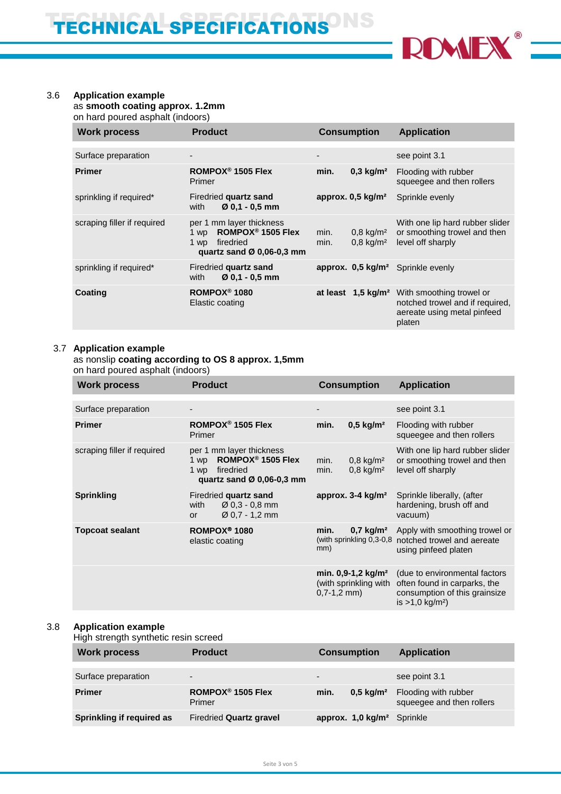

# 3.6 **Application example**

as **smooth coating approx. 1.2mm**

on hard poured asphalt (indoors)

| <b>Work process</b>         | <b>Product</b>                                                                                                                  | <b>Consumption</b>                                           | <b>Application</b>                                                                                   |
|-----------------------------|---------------------------------------------------------------------------------------------------------------------------------|--------------------------------------------------------------|------------------------------------------------------------------------------------------------------|
|                             |                                                                                                                                 |                                                              |                                                                                                      |
| Surface preparation         | $\qquad \qquad \blacksquare$                                                                                                    | $\overline{\phantom{a}}$                                     | see point 3.1                                                                                        |
| <b>Primer</b>               | ROMPOX <sup>®</sup> 1505 Flex<br>Primer                                                                                         | min.<br>$0,3$ kg/m <sup>2</sup>                              | Flooding with rubber<br>squeegee and then rollers                                                    |
| sprinkling if required*     | Firedried quartz sand<br>$Ø$ 0.1 - 0.5 mm<br>with                                                                               | approx. $0,5$ kg/m <sup>2</sup>                              | Sprinkle evenly                                                                                      |
| scraping filler if required | per 1 mm layer thickness<br>ROMPOX <sup>®</sup> 1505 Flex<br>1 wp<br>firedried<br>1 wp<br>quartz sand $\varnothing$ 0.06-0.3 mm | $0,8 \text{ kg/m}^2$<br>min.<br>$0,8 \text{ kg/m}^2$<br>min. | With one lip hard rubber slider<br>or smoothing trowel and then<br>level off sharply                 |
| sprinkling if required*     | Firedried quartz sand<br>$Ø$ 0.1 - 0.5 mm<br>with                                                                               | approx. 0,5 kg/m <sup>2</sup> Sprinkle evenly                |                                                                                                      |
| Coating                     | ROMPOX <sup>®</sup> 1080<br>Elastic coating                                                                                     | at least 1,5 kg/m <sup>2</sup>                               | With smoothing trowel or<br>notched trowel and if required,<br>aereate using metal pinfeed<br>platen |

# 3.7 **Application example**

# as nonslip **coating according to OS 8 approx. 1,5mm**

on hard poured asphalt (indoors)

| <b>Work process</b>         | <b>Product</b>                                                                                                      | <b>Consumption</b>                                                         | <b>Application</b>                                                                                                              |
|-----------------------------|---------------------------------------------------------------------------------------------------------------------|----------------------------------------------------------------------------|---------------------------------------------------------------------------------------------------------------------------------|
|                             |                                                                                                                     |                                                                            |                                                                                                                                 |
| Surface preparation         |                                                                                                                     |                                                                            | see point 3.1                                                                                                                   |
| <b>Primer</b>               | ROMPOX <sup>®</sup> 1505 Flex<br>Primer                                                                             | min.<br>$0,5$ kg/m <sup>2</sup>                                            | Flooding with rubber<br>squeegee and then rollers                                                                               |
| scraping filler if required | per 1 mm layer thickness<br>ROMPOX <sup>®</sup> 1505 Flex<br>1 wp<br>firedried<br>1 wp<br>quartz sand Ø 0,06-0,3 mm | $0,8$ kg/m <sup>2</sup><br>min.<br>$0,8$ kg/m <sup>2</sup><br>min.         | With one lip hard rubber slider<br>or smoothing trowel and then<br>level off sharply                                            |
| <b>Sprinkling</b>           | Firedried quartz sand<br>$\varnothing$ 0,3 - 0,8 mm<br>with<br>$\varnothing$ 0,7 - 1,2 mm<br>or                     | approx. 3-4 kg/m <sup>2</sup>                                              | Sprinkle liberally, (after<br>hardening, brush off and<br>vacuum)                                                               |
| <b>Topcoat sealant</b>      | ROMPOX <sup>®</sup> 1080<br>elastic coating                                                                         | $0,7 \text{ kg/m}^2$<br>min.<br>mm)                                        | Apply with smoothing trowel or<br>(with sprinkling 0,3-0,8 notched trowel and aereate<br>using pinfeed platen                   |
|                             |                                                                                                                     | min. $0,9-1,2$ kg/m <sup>2</sup><br>(with sprinkling with<br>$0,7-1,2$ mm) | (due to environmental factors<br>often found in carparks, the<br>consumption of this grainsize<br>is $>1,0$ kg/m <sup>2</sup> ) |

## 3.8 **Application example**

High strength synthetic resin screed

| <b>Work process</b>       | <b>Product</b>                          | <b>Consumption</b>            | <b>Application</b>                                |
|---------------------------|-----------------------------------------|-------------------------------|---------------------------------------------------|
| Surface preparation       | $\overline{\phantom{0}}$                | -                             | see point 3.1                                     |
| <b>Primer</b>             | ROMPOX <sup>®</sup> 1505 Flex<br>Primer | $0.5 \text{ kg/m}^2$<br>min.  | Flooding with rubber<br>squeegee and then rollers |
| Sprinkling if required as | <b>Firedried Quartz gravel</b>          | approx. 1,0 kg/m <sup>2</sup> | Sprinkle                                          |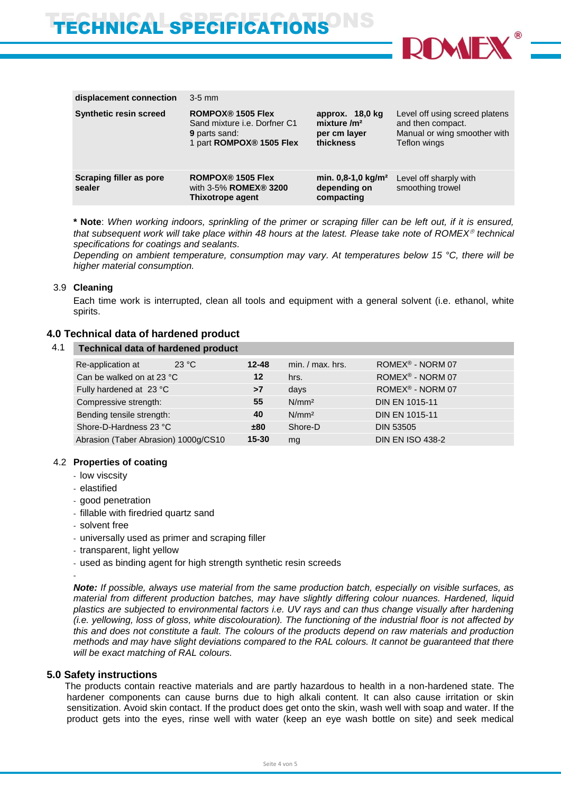

| displacement connection           | $3-5$ mm                                                                                                            |                                                                |                                                                                                     |
|-----------------------------------|---------------------------------------------------------------------------------------------------------------------|----------------------------------------------------------------|-----------------------------------------------------------------------------------------------------|
| <b>Synthetic resin screed</b>     | <b>ROMPOX® 1505 Flex</b><br>Sand mixture <i>i.e.</i> Dorfner C1<br><b>9</b> parts sand:<br>1 part ROMPOX® 1505 Flex | approx. 18,0 kg<br>mixture $/m2$<br>per cm layer<br>thickness  | Level off using screed platens<br>and then compact.<br>Manual or wing smoother with<br>Teflon wings |
| Scraping filler as pore<br>sealer | ROMPOX <sup>®</sup> 1505 Flex<br>with 3-5% ROMEX® 3200<br>Thixotrope agent                                          | min. $0,8-1,0$ kg/m <sup>2</sup><br>depending on<br>compacting | Level off sharply with<br>smoothing trowel                                                          |

**\* Note**: *When working indoors, sprinkling of the primer or scraping filler can be left out, if it is ensured, that subsequent work will take place within 48 hours at the latest. Please take note of ROMEX technical specifications for coatings and sealants.* 

*Depending on ambient temperature, consumption may vary. At temperatures below 15 °C, there will be higher material consumption.*

## 3.9 **Cleaning**

Each time work is interrupted, clean all tools and equipment with a general solvent (i.e. ethanol, white spirits.

## **4.0 Technical data of hardened product**

| 4.1 Technical data of hardened product |       |         |     |
|----------------------------------------|-------|---------|-----|
| Re-annlication at                      | າາ ∘∩ | $12-48$ | mir |

| 23 °C<br>Re-application at           | $12 - 48$         | $min. / max.$ hrs. | ROMEX <sup>®</sup> - NORM 07 |
|--------------------------------------|-------------------|--------------------|------------------------------|
| Can be walked on at 23 °C            | $12 \overline{ }$ | hrs.               | ROMEX <sup>®</sup> - NORM 07 |
| Fully hardened at 23 °C              | >7                | days               | ROMEX <sup>®</sup> - NORM 07 |
| Compressive strength:                | 55 <sub>5</sub>   | N/mm <sup>2</sup>  | <b>DIN EN 1015-11</b>        |
| Bending tensile strength:            | 40                | N/mm <sup>2</sup>  | <b>DIN EN 1015-11</b>        |
| Shore-D-Hardness 23 °C               | ±80               | Shore-D            | <b>DIN 53505</b>             |
| Abrasion (Taber Abrasion) 1000g/CS10 | $15 - 30$         | mg                 | <b>DIN EN ISO 438-2</b>      |

## 4.2 **Properties of coating**

- low viscsity
- elastified
- good penetration
- fillable with firedried quartz sand
- solvent free
- universally used as primer and scraping filler
- transparent, light yellow
- used as binding agent for high strength synthetic resin screeds

-

*Note: If possible, always use material from the same production batch, especially on visible surfaces, as material from different production batches, may have slightly differing colour nuances. Hardened, liquid plastics are subjected to environmental factors i.e. UV rays and can thus change visually after hardening (i.e. yellowing, loss of gloss, white discolouration). The functioning of the industrial floor is not affected by this and does not constitute a fault. The colours of the products depend on raw materials and production methods and may have slight deviations compared to the RAL colours. It cannot be guaranteed that there will be exact matching of RAL colours.*

## **5.0 Safety instructions**

 The products contain reactive materials and are partly hazardous to health in a non-hardened state. The hardener components can cause burns due to high alkali content. It can also cause irritation or skin sensitization. Avoid skin contact. If the product does get onto the skin, wash well with soap and water. If the product gets into the eyes, rinse well with water (keep an eye wash bottle on site) and seek medical